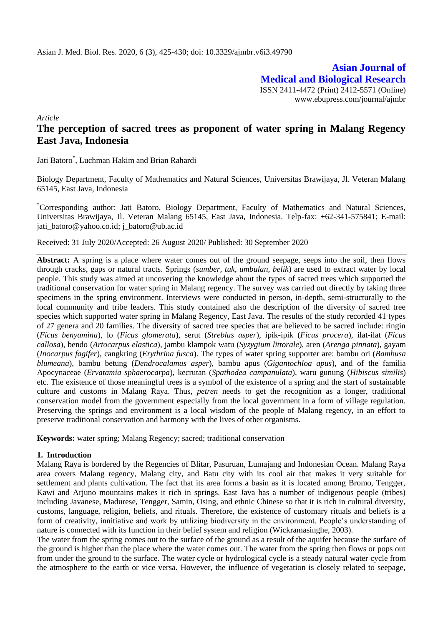**Asian Journal of Medical and Biological Research** ISSN 2411-4472 (Print) 2412-5571 (Online) www.ebupress.com/journal/ajmbr

*Article*

# **The perception of sacred trees as proponent of water spring in Malang Regency East Java, Indonesia**

Jati Batoro\* , Luchman Hakim and Brian Rahardi

Biology Department, Faculty of Mathematics and Natural Sciences, Universitas Brawijaya, Jl. Veteran Malang 65145, East Java, Indonesia

\*Corresponding author: Jati Batoro, Biology Department, Faculty of Mathematics and Natural Sciences, Universitas Brawijaya, Jl. Veteran Malang 65145, East Java, Indonesia. Telp-fax: +62-341-575841; E-mail: jati\_batoro@yahoo.co.id; j\_batoro@ub.ac.id

Received: 31 July 2020/Accepted: 26 August 2020/ Published: 30 September 2020

**Abstract:** A spring is a place where water comes out of the ground seepage, seeps into the soil, then flows through cracks, gaps or natural tracts. Springs (*sumber, tuk, umbulan, belik*) are used to extract water by local people. This study was aimed at uncovering the knowledge about the types of sacred trees which supported the traditional conservation for water spring in Malang regency. The survey was carried out directly by taking three specimens in the spring environment. Interviews were conducted in person, in-depth, semi-structurally to the local community and tribe leaders. This study contained also the description of the diversity of sacred tree species which supported water spring in Malang Regency, East Java. The results of the study recorded 41 types of 27 genera and 20 families. The diversity of sacred tree species that are believed to be sacred include: ringin (*Ficus benyamina*), lo (*Ficus glomerata*), serut (*Streblus asper*), ipik-ipik (*Ficus procera*), ilat-ilat (*Ficus callosa*), bendo (*Artocarpus elastica*), jambu klampok watu (*Syzygium littorale*), aren (*Arenga pinnata*), gayam (*Inocarpus fagifer*), cangkring (*Erythrina fusca*). The types of water spring supporter are: bambu ori (*Bambusa blumeana*), bambu betung (*Dendrocalamus asper*), bambu apus (*Gigantochloa apus*), and of the familia Apocynaceae (*Ervatamia sphaerocarpa*), kecrutan (*Spathodea campanulata*), waru gunung (*Hibiscus similis*) etc. The existence of those meaningful trees is a symbol of the existence of a spring and the start of sustainable culture and customs in Malang Raya. Thus, *petren* needs to get the recognition as a longer, traditional conservation model from the government especially from the local government in a form of village regulation. Preserving the springs and environment is a local wisdom of the people of Malang regency, in an effort to preserve traditional conservation and harmony with the lives of other organisms.

## **Keywords:** water spring; Malang Regency; sacred; traditional conservation

## **1. Introduction**

Malang Raya is bordered by the Regencies of Blitar, Pasuruan, Lumajang and Indonesian Ocean. Malang Raya area covers Malang regency, Malang city, and Batu city with its cool air that makes it very suitable for settlement and plants cultivation. The fact that its area forms a basin as it is located among Bromo, Tengger, Kawi and Arjuno mountains makes it rich in springs. East Java has a number of indigenous people (tribes) including Javanese, Madurese, Tengger, Samin, Osing, and ethnic Chinese so that it is rich in cultural diversity, customs, language, religion, beliefs, and rituals. Therefore, the existence of customary rituals and beliefs is a form of creativity, innitiative and work by utilizing biodiversity in the environment. People's understanding of nature is connected with its function in their belief system and religion (Wickramasinghe, 2003).

The water from the spring comes out to the surface of the ground as a result of the aquifer because the surface of the ground is higher than the place where the water comes out. The water from the spring then flows or pops out from under the ground to the surface. The water cycle or hydrological cycle is a steady natural water cycle from the atmosphere to the earth or vice versa. However, the influence of vegetation is closely related to seepage,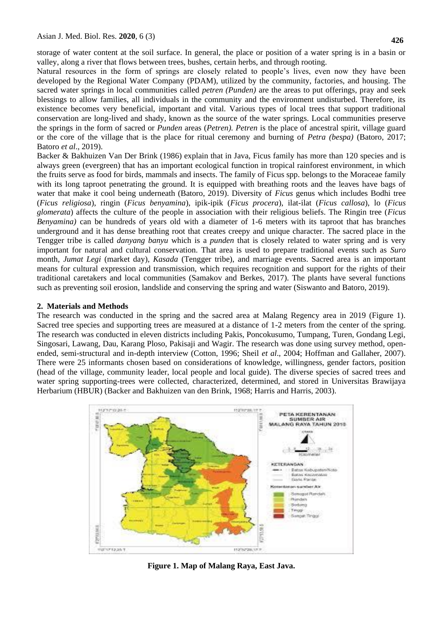storage of water content at the soil surface. In general, the place or position of a water spring is in a basin or valley, along a river that flows between trees, bushes, certain herbs, and through rooting.

Natural resources in the form of springs are closely related to people's lives, even now they have been developed by the Regional Water Company (PDAM), utilized by the community, factories, and housing. The sacred water springs in local communities called *petren (Punden)* are the areas to put offerings, pray and seek blessings to allow families, all individuals in the community and the environment undisturbed. Therefore, its existence becomes very beneficial, important and vital. Various types of local trees that support traditional conservation are long-lived and shady, known as the source of the water springs. Local communities preserve the springs in the form of sacred or *Punden* areas (*Petren). Petren* is the place of ancestral spirit, village guard or the core of the village that is the place for ritual ceremony and burning of *Petra (bespa)* (Batoro, 2017; Batoro *et al*., 2019).

Backer & Bakhuizen Van Der Brink (1986) explain that in Java, Ficus family has more than 120 species and is always green (evergreen) that has an important ecological function in tropical rainforest environment, in which the fruits serve as food for birds, mammals and insects. The family of Ficus spp. belongs to the Moraceae family with its long taproot penetrating the ground. It is equipped with breathing roots and the leaves have bags of water that make it cool being underneath (Batoro, 2019). Diversity of *Ficus* genus which includes Bodhi tree (*Ficus religiosa*), ringin (*Ficus benyamina*), ipik-ipik (*Ficus procera*), ilat-ilat (*Ficus callosa*), lo (*Ficus glomerata*) affects the culture of the people in association with their religious beliefs. The Ringin tree (*Ficus Benyamina)* can be hundreds of years old with a diameter of 1-6 meters with its taproot that has branches underground and it has dense breathing root that creates creepy and unique character. The sacred place in the Tengger tribe is called *danyang banyu* which is a *punden* that is closely related to water spring and is very important for natural and cultural conservation. That area is used to prepare traditional events such as *Suro*  month, *Jumat Legi* (market day), *Kasada* (Tengger tribe), and marriage events. Sacred area is an important means for cultural expression and transmission, which requires recognition and support for the rights of their traditional caretakers and local communities (Samakov and Berkes, 2017). The plants have several functions such as preventing soil erosion, landslide and conserving the spring and water (Siswanto and Batoro, 2019).

## **2. Materials and Methods**

The research was conducted in the spring and the sacred area at Malang Regency area in 2019 (Figure 1). Sacred tree species and supporting trees are measured at a distance of 1-2 meters from the center of the spring. The research was conducted in eleven districts including Pakis, Poncokusumo, Tumpang, Turen, Gondang Legi, Singosari, Lawang, Dau, Karang Ploso, Pakisaji and Wagir. The research was done using survey method, openended, semi-structural and in-depth interview (Cotton, 1996; Sheil *et al*., 2004; Hoffman and Gallaher, 2007). There were 25 informants chosen based on considerations of knowledge, willingness, gender factors, position (head of the village, community leader, local people and local guide). The diverse species of sacred trees and water spring supporting-trees were collected, characterized, determined, and stored in Universitas Brawijaya Herbarium (HBUR) (Backer and Bakhuizen van den Brink, 1968; Harris and Harris, 2003).



**Figure 1. Map of Malang Raya, East Java.**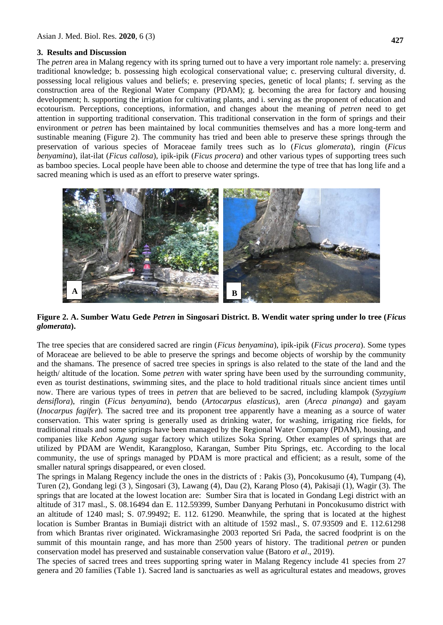## **3. Results and Discussion**

The *petren* area in Malang regency with its spring turned out to have a very important role namely: a. preserving traditional knowledge; b. possessing high ecological conservational value; c. preserving cultural diversity, d. possessing local religious values and beliefs; e. preserving species, genetic of local plants; f. serving as the construction area of the Regional Water Company (PDAM); g. becoming the area for factory and housing development; h. supporting the irrigation for cultivating plants, and i. serving as the proponent of education and ecotourism. Perceptions, conceptions, information, and changes about the meaning of *petren* need to get attention in supporting traditional conservation. This traditional conservation in the form of springs and their environment or *petren* has been maintained by local communities themselves and has a more long-term and sustinable meaning (Figure 2). The community has tried and been able to preserve these springs through the preservation of various species of Moraceae family trees such as lo (*Ficus glomerata*), ringin (*Ficus benyamina*), ilat-ilat (*Ficus callosa*), ipik-ipik (*Ficus procera*) and other various types of supporting trees such as bamboo species. Local people have been able to choose and determine the type of tree that has long life and a sacred meaning which is used as an effort to preserve water springs.



**Figure 2. A. Sumber Watu Gede** *Petren* **in Singosari District. B. Wendit water spring under lo tree (***Ficus glomerata***).**

The tree species that are considered sacred are ringin (*Ficus benyamina*), ipik-ipik (*Ficus procera*). Some types of Moraceae are believed to be able to preserve the springs and become objects of worship by the community and the shamans. The presence of sacred tree species in springs is also related to the state of the land and the heigth/ altitude of the location. Some *petren* with water spring have been used by the surrounding community, even as tourist destinations, swimming sites, and the place to hold traditional rituals since ancient times until now. There are various types of trees in *petren* that are believed to be sacred, including klampok (*Syzygium densiflora*), ringin (*Ficus benyamina*), bendo (*Artocarpus elasticus*), aren (*Areca pinanga*) and gayam (*Inocarpus fagifer*). The sacred tree and its proponent tree apparently have a meaning as a source of water conservation. This water spring is generally used as drinking water, for washing, irrigating rice fields, for traditional rituals and some springs have been managed by the Regional Water Company (PDAM), housing, and companies like *Kebon Agung* sugar factory which utilizes Soka Spring. Other examples of springs that are utilized by PDAM are Wendit, Karangploso, Karangan, Sumber Pitu Springs, etc. According to the local community, the use of springs managed by PDAM is more practical and efficient; as a result, some of the smaller natural springs disappeared, or even closed.

The springs in Malang Regency include the ones in the districts of : Pakis (3), Poncokusumo (4), Tumpang (4), Turen (2), Gondang legi (3 ), Singosari (3), Lawang (4), Dau (2), Karang Ploso (4), Pakisaji (1), Wagir (3). The springs that are located at the lowest location are: Sumber Sira that is located in Gondang Legi district with an altitude of 317 masl., S. 08.16494 dan E. 112.59399, Sumber Danyang Perhutani in Poncokusumo district with an altitude of 1240 masl; S. 07.99492; E. 112. 61290. Meanwhile, the spring that is located at the highest location is Sumber Brantas in Bumiaji district with an altitude of 1592 masl., S. 07.93509 and E. 112.61298 from which Brantas river originated. Wickramasinghe 2003 reported Sri Pada, the sacred foodprint is on the summit of this mountain range, and has more than 2500 years of history. The traditional *petren* or punden conservation model has preserved and sustainable conservation value (Batoro *et al*., 2019).

The species of sacred trees and trees supporting spring water in Malang Regency include 41 species from 27 genera and 20 families (Table 1). Sacred land is sanctuaries as well as agricultural estates and meadows, groves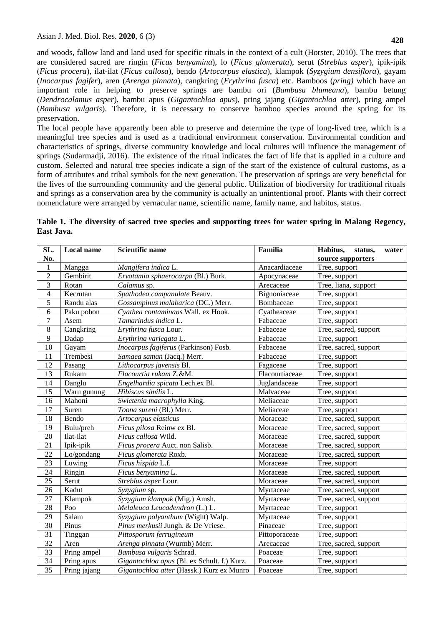and woods, fallow land and land used for specific rituals in the context of a cult (Horster, 2010). The trees that are considered sacred are ringin (*Ficus benyamina*), lo (*Ficus glomerata*), serut (*Streblus asper*), ipik-ipik (*Ficus procera*), ilat-ilat (*Ficus callosa*), bendo (*Artocarpus elastica*), klampok (*Syzygium densiflora*), gayam (*Inocarpus fagifer*), aren (*Arenga pinnata*), cangkring (*Erythrina fusca*) etc. Bamboos (*pring)* which have an important role in helping to preserve springs are bambu ori (*Bambusa blumeana*), bambu betung (*Dendrocalamus asper*), bambu apus (*Gigantochloa apus*), pring jajang (*Gigantochloa atter*), pring ampel (*Bambusa vulgaris*). Therefore, it is necessary to conserve bamboo species around the spring for its preservation.

The local people have apparently been able to preserve and determine the type of long-lived tree, which is a meaningful tree species and is used as a traditional environment conservation. Environmental condition and characteristics of springs, diverse community knowledge and local cultures will influence the management of springs (Sudarmadji, 2016). The existence of the ritual indicates the fact of life that is applied in a culture and custom. Selected and natural tree species indicate a sign of the start of the existence of cultural customs, as a form of attributes and tribal symbols for the next generation. The preservation of springs are very beneficial for the lives of the surrounding community and the general public. Utilization of biodiversity for traditional rituals and springs as a conservation area by the community is actually an unintentional proof. Plants with their correct nomenclature were arranged by vernacular name, scientific name, family name, and habitus, status.

| SL.             | <b>Local name</b> | <b>Scientific name</b>                      | Familia        | Habitus,<br>status,<br>water |
|-----------------|-------------------|---------------------------------------------|----------------|------------------------------|
| No.             |                   |                                             |                | source supporters            |
| 1               | Mangga            | Mangifera indica L.                         | Anacardiaceae  | Tree, support                |
| $\overline{2}$  | Gembirit          | Ervatamia sphaerocarpa (Bl.) Burk.          | Apocynaceae    | Tree, support                |
| $\overline{3}$  | Rotan             | Calamus sp.                                 | Arecaceae      | Tree, liana, support         |
| $\overline{4}$  | Kecrutan          | Spathodea campanulate Beauv.                | Bignoniaceae   | Tree, support                |
| 5               | Randu alas        | Gossampinus malabarica (DC.) Merr.          | Bombaceae      | Tree, support                |
| 6               | Paku pohon        | Cyathea contaminans Wall. ex Hook.          | Cyatheaceae    | Tree, support                |
| $\tau$          | Asem              | Tamarindus indica L.                        | Fabaceae       | Tree, support                |
| $\,8\,$         | Cangkring         | Erythrina fusca Lour.                       | Fabaceae       | Tree, sacred, support        |
| $\overline{9}$  | Dadap             | Erythrina variegata L.                      | Fabaceae       | Tree, support                |
| 10              | Gayam             | Inocarpus fagiferus (Parkinson) Fosb.       | Fabaceae       | Tree, sacred, support        |
| 11              | Trembesi          | Samaea saman (Jacq.) Merr.                  | Fabaceae       | Tree, support                |
| 12              | Pasang            | Lithocarpus javensis Bl.                    | Fagaceae       | Tree, support                |
| 13              | Rukam             | Flacourtia rukam Z.&M.                      | Flacourtiaceae | Tree, support                |
| 14              | Danglu            | Engelhardia spicata Lech.ex Bl.             | Juglandaceae   | Tree, support                |
| 15              | Waru gunung       | Hibiscus similis L.                         | Malvaceae      | Tree, support                |
| 16              | Mahoni            | Swietenia macrophylla King.                 | Meliaceae      | Tree, support                |
| 17              | Suren             | Toona sureni (Bl.) Merr.                    | Meliaceae      | Tree, support                |
| 18              | Bendo             | Artocarpus elasticus                        | Moraceae       | Tree, sacred, support        |
| 19              | Bulu/preh         | Ficus pilosa Reinw ex Bl.                   | Moraceae       | Tree, sacred, support        |
| 20              | Ilat-ilat         | Ficus callosa Wild.                         | Moraceae       | Tree, sacred, support        |
| 21              | Ipik-ipik         | Ficus procera Auct. non Salisb.             | Moraceae       | Tree, sacred, support        |
| 22              | Lo/gondang        | Ficus glomerata Roxb.                       | Moraceae       | Tree, sacred, support        |
| 23              | Luwing            | Ficus hispida L.f.                          | Moraceae       | Tree, support                |
| 24              | Ringin            | Ficus benyamina L.                          | Moraceae       | Tree, sacred, support        |
| 25              | Serut             | Streblus asper Lour.                        | Moraceae       | Tree, sacred, support        |
| 26              | Kadut             | Syzygium sp.                                | Myrtaceae      | Tree, sacred, support        |
| 27              | Klampok           | Syzygium klampok (Mig.) Amsh.               | Myrtaceae      | Tree, sacred, support        |
| 28              | Poo               | Melaleuca Leucadendron (L.) L.              | Myrtaceae      | Tree, support                |
| 29              | Salam             | Syzygium polyanthum (Wight) Walp.           | Myrtaceae      | Tree, support                |
| $\overline{30}$ | Pinus             | Pinus merkusii Jungh. & De Vriese.          | Pinaceae       | Tree, support                |
| 31              | Tinggan           | Pittosporum ferrugineum                     | Pittoporaceae  | Tree, support                |
| 32              | Aren              | Arenga pinnata (Wurmb) Merr.                | Arecaceae      | Tree, sacred, support        |
| 33              | Pring ampel       | Bambusa vulgaris Schrad.                    | Poaceae        | Tree, support                |
| 34              | Pring apus        | Gigantochloa apus (Bl. ex Schult. f.) Kurz. | Poaceae        | Tree, support                |
| 35              | Pring jajang      | Gigantochloa atter (Hassk.) Kurz ex Munro   | Poaceae        | Tree, support                |

**Table 1. The diversity of sacred tree species and supporting trees for water spring in Malang Regency, East Java.**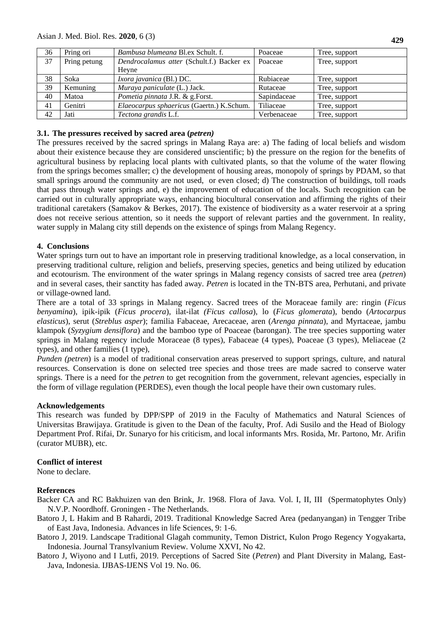| 36 | Pring ori    | Bambusa blumeana Bl.ex Schult. f.         | Poaceae     | Tree, support |
|----|--------------|-------------------------------------------|-------------|---------------|
| 37 | Pring petung | Dendrocalamus atter (Schult.f.) Backer ex | Poaceae     | Tree, support |
|    |              | Hevne                                     |             |               |
| 38 | Soka         | Ixora javanica (Bl.) DC.                  | Rubiaceae   | Tree, support |
| 39 | Kemuning     | Muraya paniculate (L.) Jack.              | Rutaceae    | Tree, support |
| 40 | Matoa        | Pometia pinnata J.R. & g.Forst.           | Sapindaceae | Tree, support |
| 41 | Genitri      | Elaeocarpus sphaericus (Gaertn.) K.Schum. | Tiliaceae   | Tree, support |
| 42 | Jati         | Tectona grandis L.f.                      | Verbenaceae | Tree, support |

## **3.1. The pressures received by sacred area (***petren)*

The pressures received by the sacred springs in Malang Raya are: a) The fading of local beliefs and wisdom about their existence because they are considered unscientific; b) the pressure on the region for the benefits of agricultural business by replacing local plants with cultivated plants, so that the volume of the water flowing from the springs becomes smaller; c) the development of housing areas, monopoly of springs by PDAM, so that small springs around the community are not used, or even closed; d) The construction of buildings, toll roads that pass through water springs and, e) the improvement of education of the locals. Such recognition can be carried out in culturally appropriate ways, enhancing biocultural conservation and affirming the rights of their traditional caretakers (Samakov & Berkes, 2017). The existence of biodiversity as a water reservoir at a spring does not receive serious attention, so it needs the support of relevant parties and the government. In reality, water supply in Malang city still depends on the existence of spings from Malang Regency.

## **4. Conclusions**

Water springs turn out to have an important role in preserving traditional knowledge, as a local conservation, in preserving traditional culture, religion and beliefs, preserving species, genetics and being utilized by education and ecotourism. The environment of the water springs in Malang regency consists of sacred tree area (*petren*) and in several cases, their sanctity has faded away. *Petren* is located in the TN-BTS area, Perhutani, and private or village-owned land.

There are a total of 33 springs in Malang regency. Sacred trees of the Moraceae family are: ringin (*Ficus benyamina*), ipik-ipik (*Ficus procera*), ilat-ilat *(Ficus callosa*), lo (*Ficus glomerata*), bendo (*Artocarpus elasticus*), serut (*Streblus asper*); familia Fabaceae, Arecaceae, aren (*Arenga pinnata*), and Myrtaceae, jambu klampok (*Syzygium densiflora*) and the bamboo type of Poaceae (barongan). The tree species supporting water springs in Malang regency include Moraceae (8 types), Fabaceae (4 types), Poaceae (3 types), Meliaceae (2 types), and other families (1 type),

*Punden (petren*) is a model of traditional conservation areas preserved to support springs, culture, and natural resources. Conservation is done on selected tree species and those trees are made sacred to conserve water springs. There is a need for the *petren* to get recognition from the government, relevant agencies, especially in the form of village regulation (PERDES), even though the local people have their own customary rules.

## **Acknowledgements**

This research was funded by DPP/SPP of 2019 in the Faculty of Mathematics and Natural Sciences of Universitas Brawijaya. Gratitude is given to the Dean of the faculty, Prof. Adi Susilo and the Head of Biology Department Prof. Rifai, Dr. Sunaryo for his criticism, and local informants Mrs. Rosida, Mr. Partono, Mr. Arifin (curator MUBR), etc.

## **Conflict of interest**

None to declare.

## **References**

- Backer CA and RC Bakhuizen van den Brink, Jr. 1968. Flora of Java*.* Vol. I, II, III (Spermatophytes Only) N.V.P. Noordhoff. Groningen - The Netherlands.
- Batoro J, L Hakim and B Rahardi, 2019. Traditional Knowledge Sacred Area (pedanyangan) in Tengger Tribe of East Java, Indonesia. Advances in life Sciences, 9: 1-6.
- Batoro J, 2019. Landscape Traditional Glagah community, Temon District, Kulon Progo Regency Yogyakarta, Indonesia. Journal Transylvanium Review. Volume XXVI, No 42.
- Batoro J, Wiyono and I Lutfi, 2019. Perceptions of Sacred Site (*Petren*) and Plant Diversity in Malang, East-Java, Indonesia. IJBAS-IJENS Vol 19. No. 06.